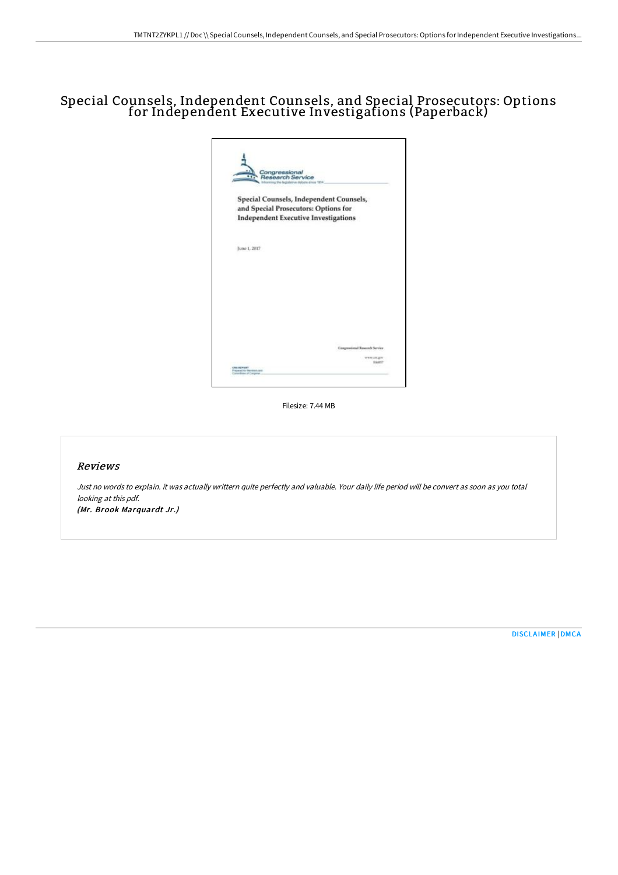# Special Counsels, Independent Counsels, and Special Prosecutors: Options for Independent Executive Investigations (Paperback)

|                                                                     | Congressional<br>Research Service           |                                     |                                         |
|---------------------------------------------------------------------|---------------------------------------------|-------------------------------------|-----------------------------------------|
|                                                                     |                                             | a the legislative debate aimis TEI4 |                                         |
|                                                                     |                                             |                                     |                                         |
|                                                                     |                                             |                                     | Special Counsels, Independent Counsels, |
|                                                                     | and Special Prosecutors: Options for        |                                     |                                         |
|                                                                     | <b>Independent Executive Investigations</b> |                                     |                                         |
|                                                                     |                                             |                                     |                                         |
|                                                                     |                                             |                                     |                                         |
| June 1, 2017                                                        |                                             |                                     |                                         |
|                                                                     |                                             |                                     |                                         |
|                                                                     |                                             |                                     |                                         |
|                                                                     |                                             |                                     |                                         |
|                                                                     |                                             |                                     |                                         |
|                                                                     |                                             |                                     |                                         |
|                                                                     |                                             |                                     |                                         |
|                                                                     |                                             |                                     |                                         |
|                                                                     |                                             |                                     |                                         |
|                                                                     |                                             |                                     |                                         |
|                                                                     |                                             |                                     |                                         |
|                                                                     |                                             |                                     |                                         |
|                                                                     |                                             |                                     | Congressional Research Service          |
|                                                                     |                                             |                                     | www.cn.gm                               |
|                                                                     |                                             |                                     | <b>BARSY</b>                            |
| CRIS REPORT<br>Prepared for Septemb and<br>Contentment of Compress. |                                             |                                     |                                         |

Filesize: 7.44 MB

### Reviews

Just no words to explain. it was actually writtern quite perfectly and valuable. Your daily life period will be convert as soon as you total looking at this pdf. (Mr. Brook Marquardt Jr.)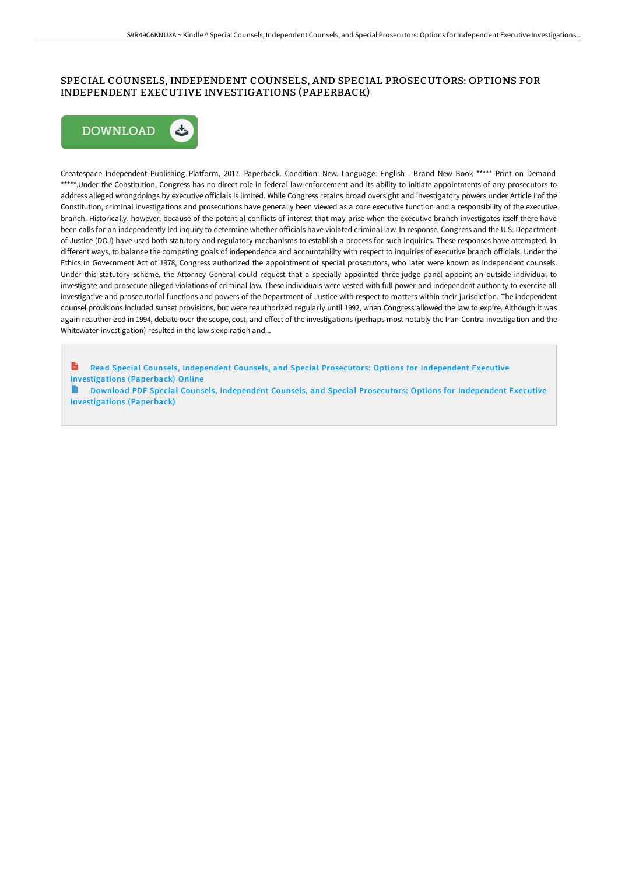## SPECIAL COUNSELS, INDEPENDENT COUNSELS, AND SPECIAL PROSECUTORS: OPTIONS FOR INDEPENDENT EXECUTIVE INVESTIGATIONS (PAPERBACK)



Createspace Independent Publishing Platform, 2017. Paperback. Condition: New. Language: English . Brand New Book \*\*\*\*\* Print on Demand \*\*\*\*\*.Under the Constitution, Congress has no direct role in federal law enforcement and its ability to initiate appointments of any prosecutors to address alleged wrongdoings by executive officials is limited. While Congress retains broad oversight and investigatory powers under Article I of the Constitution, criminal investigations and prosecutions have generally been viewed as a core executive function and a responsibility of the executive branch. Historically, however, because of the potential conflicts of interest that may arise when the executive branch investigates itself there have been calls for an independently led inquiry to determine whether officials have violated criminal law. In response, Congress and the U.S. Department of Justice (DOJ) have used both statutory and regulatory mechanisms to establish a process for such inquiries. These responses have attempted, in different ways, to balance the competing goals of independence and accountability with respect to inquiries of executive branch officials. Under the Ethics in Government Act of 1978, Congress authorized the appointment of special prosecutors, who later were known as independent counsels. Under this statutory scheme, the Attorney General could request that a specially appointed three-judge panel appoint an outside individual to investigate and prosecute alleged violations of criminal law. These individuals were vested with full power and independent authority to exercise all investigative and prosecutorial functions and powers of the Department of Justice with respect to matters within their jurisdiction. The independent counsel provisions included sunset provisions, but were reauthorized regularly until 1992, when Congress allowed the law to expire. Although it was again reauthorized in 1994, debate over the scope, cost, and effect of the investigations (perhaps most notably the Iran-Contra investigation and the Whitewater investigation) resulted in the law s expiration and...

Read Special Counsels, Independent Counsels, and Special Prosecutors: Options for Independent Executive [Investigations](http://techno-pub.tech/special-counsels-independent-counsels-and-specia.html) (Paperback) Online

B Download PDF Special Counsels, Independent Counsels, and Special Prosecutors: Options for Independent Executive [Investigations](http://techno-pub.tech/special-counsels-independent-counsels-and-specia.html) (Paperback)